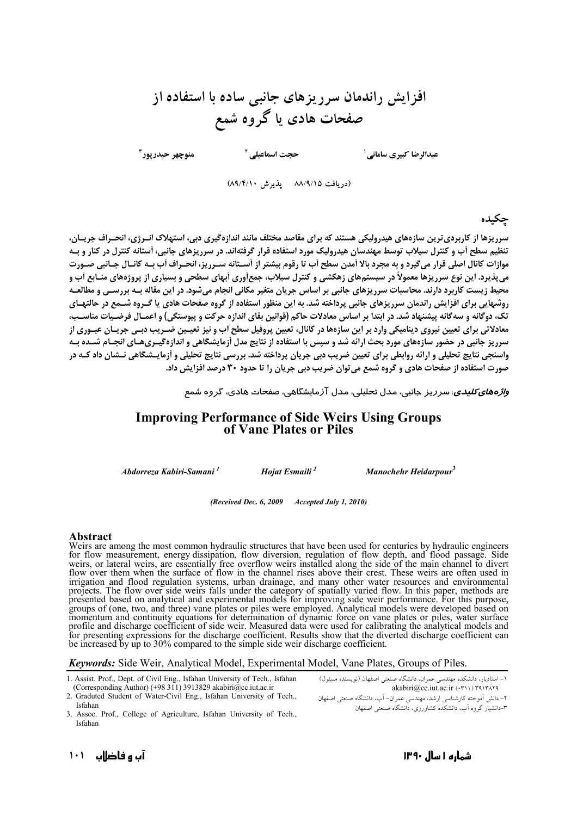# افزایش راندمان سرریزهای جانبی ساده با استفاده از صفحات هادی یا گروه شمع

منوچهر حيدرپور ۳

عبدالرضا كبيري ساماني <sup>1</sup>

(دريافت ٨٨/٩/١٥ - پذيرش ٨٩/٤/١٠)

حجت اسماعیلی <sup>۲</sup>

حكىدە

سرریزها از کاربردی ترین سازههای هیدرولیکی هستند که برای مقاصد مختلف مانند اندازهگیری دبی، استهلاک انـرژی، انحـراف جریـان، تنظیم سطح آب و کنترل سیلاب توسط مهندسان هیدرولیک مورد استفاده قرار گرفتهاند. در سرریزهای جانبی، آستانه کنترل در کنار و بـه موازات کانال اصلی قرار میگیرد و به مجرد بالا اَمدن سطح اَب تا رقوم بیشتر از اَسـتانه سـرریز، انحـراف اَب بـه کانـال جـانبی صـورت می پذیرد. این نوع سرریزها معمولاً در سیستمهای زهکشی و کنترل سیلاب، جمع آوری اَبهای سطحی و بسیاری از پروژههای منـابع اَب و محیط زیست کاربرد دارند. محاسبات سرریزهای جانبی بر اساس جریان متغیر مکانی انجام میشود. در این مقاله بـه بررسـی و مطالعـه روشهایی برای افزایش راندمان سرریزهای جانبی پرداخته شد. به این منظور استفاده از گروه صفحات هادی یا گـروه شــمع در حالتهـای تک، دوگانه و سهگانه پیشنهاد شد. در ابتدا بر اساس معادلات حاکم (قوانین بقای اندازه حرکت و پیوستگی) و اعمـال فرضـیات مناسـب، معادلاتی برای تعیین نیروی دینامیکی وارد بر این سازهها در کانال، تعیین پروفیل سطح آب و نیز تعیـین ضـریب دبـی جریـان عبـوری از سرریز جانبی در حضور سازههای مورد بحث ارائه شد و سپس با استفاده از نتایج مدل اَزمایشگاهی و اندازهگیـریهـای انجـام شـده بـه واسنجی نتایج تحلیلی و ارائه روابطی برای تعیین ضریب دبی جریان پرداخته شد. بررسی نتایج تحلیلی و أزمایـشگاهی نــشان داد کــه در صورت استفاده از صفحات هادی و گروه شمع می توان ضریب دبی جریان را تا حدود ۳۰ درصد افزایش داد.

*و<mark>اژههای <i>کلیدی*: سر</mark> ریز جانبی، مدل ت<del>ح</del>لیلی، مدل آزمایشگاهی، صفحات هادی، گروه شمع

### **Improving Performance of Side Weirs Using Groups** of Vane Plates or Piles

Abdorreza Kabiri-Samani<sup>1</sup>

Hojat Esmaili<sup>2</sup>

Manochehr Heidarpour<sup>3</sup>

(Received Dec. 6, 2009 Accepted July 1, 2010)

#### **Abstract**

Weirs are among the most common hydraulic structures that have been used for centuries by hydraulic engineers<br>for flow measurement, energy dissipation, flow diversion, regulation of flow depth, and flood passage. Side<br>weir flow over them when the surface of flow in the channel rises above their crest. These weirs are often used in irigation and flood regulation systems, urban drainage, and many other vater resources and environmental<br>projects. The flow over side weirs falls under the category of spatially varied flow. In this paper, methods are<br>pres groups of (one, two, and three) vane plates or piles were employed. Analytical models were developed based on momentum and continuity equations for determination of dynamic force on vane plates or piles, water surface profile and discharge coefficient of side weir. Measured data were used for calibrating the analytical models and<br>for presenting expressions for the discharge coefficient. Results show that the diverted discharge coefficie be increased by up to 30% compared to the simple side weir discharge coefficient.

**Keywords:** Side Weir, Analytical Model, Experimental Model, Vane Plates, Groups of Piles.

- 1. Assist. Prof., Dept. of Civil Eng., Isfahan University of Tech., Isfahan (Corresponding Author) (+98 311) 3913829 akabiri@cc.iut.ac.ir
- 2. Graduted Student of Water-Civil Eng., Isfahan University of Tech., Isfahan
- ١- استاديار، دانشكده مهندسي عمران، دانشگاه صنعتي اصفهان (نويسنده مسئول) akabiri@cc.iut.ac.ir (.٣١١) ٣٩١٣٨٢٩ ۲– دانش اَموخته کارشناسی ارشد، مهندسی عمران– اَب، دانشگاه صنعتی اصفهان -<br>۳-دانشیار گروه آب، دانشکده کشاورزی، دانشگاه صنعتر اصفهان
- 3. Assoc. Prof., College of Agriculture, Isfahan University of Tech., Isfahan

آب و فاضلاب ۱۰۱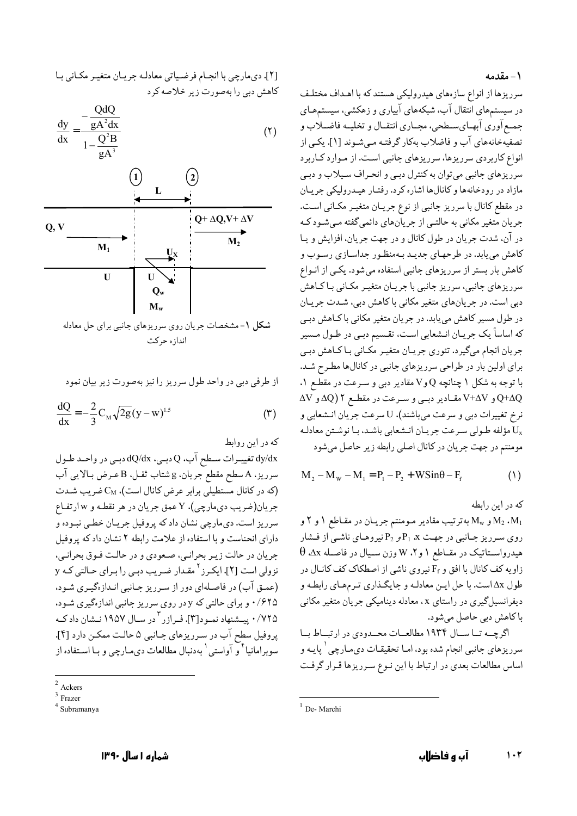#### ۱ – مقدمه

سرریزها از انواع سازههای هیدرولیکی هستند که با اهـداف مختلـف در سیستمهای انتقال آب، شبکههای آبیاری و زهکشی، سیستمهـای جمع آوري آبهـاي سـطحي، مجـاري انتقـال و تخليـه فاضـلاب و تصفیهخانههای آب و فاضلاب بهکار گرفتـه مـیشـوند [۱]. یکـی از انواع کاربردی سرریزها، سرریزهای جانبی است. از موارد کـاربرد سرریزهای جانبی می توان به کنترل دبـی و انحـراف سـیلاب و دبـی مازاد در رودخانهها و كانالها اشاره كرد. رفتـار هيـدروليكي جريـان در مقطع كانال با سرريز جانبي از نوع جريـان متغيـر مكـاني اسـت. جریان متغیر مکانی به حالتـی از جریانهای دائمیگفته مـیشـود کـه در آن، شدت جريان در طول كانال و در جهت جريان، افزايش و يـا کاهش می یابد. در طرحهای جدیـد بـهمنظـور جداسـازی رسـوب و کاهش بار بستر از سرریزهای جانبی استفاده می شود. یکبی از انبواع سرریزهای جانبی، سرریز جانبی با جریـان متغیـر مکـانی بـاکـاهش دبی است. در جریانهای متغیر مکانی با کاهش دبی، شـدت جریـان در طول مسیر کاهش مییابد. در جریان متغیر مکانی با کـاهش دبـی كه اساساً يك جريـان انـشعابي اسـت، تقـسيم دبـي در طـول مـسير جریان انجام میگیرد. تئوری جریـان متغیـر مکـانی بـاکـاهش دبـی برای اولین بار در طراحی سرریزهای جانبی در کانالها مطرح شـد. با توجه به شکل ۱ چنانچه Q و V مقادیر دببی و سـرعت در مقطــع ۱. Q+∆Q و V+∆V مقـادير دبـي و سـرعت در مقطـع ٢ (4Q و AV نرِخ تغییرات دبی و سرعت میباشند)، U سرعت جریان انـشعابی و مؤلفه طـولي سـرعت جريـان انـشعابي باشـد. بـا نوشـتن معادلـه  $\rm U_x$ مومنتم در جهت جريان در كانال اصلي رابطه زير حاصل مي شود

$$
M_2 - M_w - M_1 = P_1 - P_2 + W \sin \theta - F_f
$$
 (1)

که در این رابطه

و  $\rm M_w$  به ترتیب مقادیر مومنتم جریـان در مقـاطع ۱ و ۲ و  $\rm M_u$  به ترتیب مقادیر مـ روی سرریز جانبی در جهت  $\rm P_1$  و  $\rm P_2$  نیروهای ناشی از فشار  $\theta$  هیدرواسـتاتیک در مقـاطع ۱ و ۲، W وزن سـیال در فاصـله ۵x  $\theta$ زاویه کف کانال با افق و F<sub>f</sub> نیروی ناشی از اصطکاک کف کانال در طول ۵x است. با حل ايـن معادلـه و جايگـذاري تـرمهـاي رابطـه و دیفرانسیلگیری در راستای x، معادله دینامیکی جریان متغیر مکانی با كاهش دبي حاصل مي شود.

اگرچه تا سال ۱۹۳۴ مطالعات محمدودی در ارتباط با سرریزهای جانبی انجام شده بود، امـا تحقیقـات دیمـارچی <sup>۱</sup> پایـه و اساس مطالعات بعدی در ارتباط با این نـوع سـرریزها قـرار گرفـت

[٢]. ديمارچي با انجـام فرضـياتي معادلـه جريـان متغيـر مكـاني بـا کاهش دبی را بهصورت زیر خلاصه کرد

$$
\frac{dy}{dx} = \frac{-\frac{QdQ}{gA^2dx}}{1 - \frac{Q^2B}{gA^3}}
$$
 (7)



شکل ۱-مشخصات جریان روی سرریزهای جانبی برای حل معادله اندازه حركت

از طرفی دبی در واحد طول سرریز را نیز بهصورت زیر بیان نمود

$$
\frac{dQ}{dx} = -\frac{2}{3}C_M \sqrt{2g}(y - w)^{1.5}
$$
 (7)

که در این روابط

dy/dx تغییـرات سـطح آب، Q دبـي، dQ/dx دبـي در واحـد طـول سرريز، A سطح مقطع جريان، g شتاب ثقـل، B عـرض بـالايي آب (که در کانال مستطیلی برابر عرض کانال است)، CM ضریب شدت جريان(ضريب ديمارچي)، Y عمق جريان در هر نقطـه و w ارتفـاع سرریز است. دیمارچی نشان داد که پروفیل جریـان خطـی نبـوده و دارای انحناست و با استفاده از علامت رابطه ۲ نشان داد که پروفیل جريان در حالت زيـر بحرانـي، صـعودي و در حالـت فـوق بحرانـي، نزولی است [۲]. ایکـرز <sup>۲</sup> مقـدار ضـریب دبـی را بـرای حـالتی کـه y (عمـق آب) در فاصـلهاي دور از سـرريز جـانبي انـدازهگيـري شـود، ۰/۶۲۵ و برای حالتی که y در روی سرریز جانبی اندازهگیری شـود، ۰/۷۲۵ پیشنهاد نمـود[۳]. فـرازر <sup>۲</sup>در سـال ۱۹۵۷ نـشان دادكـه پروفیل سطح آب در سرریزهای جانبی ۵ حالت ممکن دارد [۴]. سوبرامانیا<sup>؟ ر</sup> آواستی<sup>٬</sup> بهدنبال مطالعات دیمـارچی و بـا اسـتفاده از

 $<sup>1</sup>$  De-Marchi</sup>

 $2 \Delta$ ckers

 $3$  Frazer

Subramanya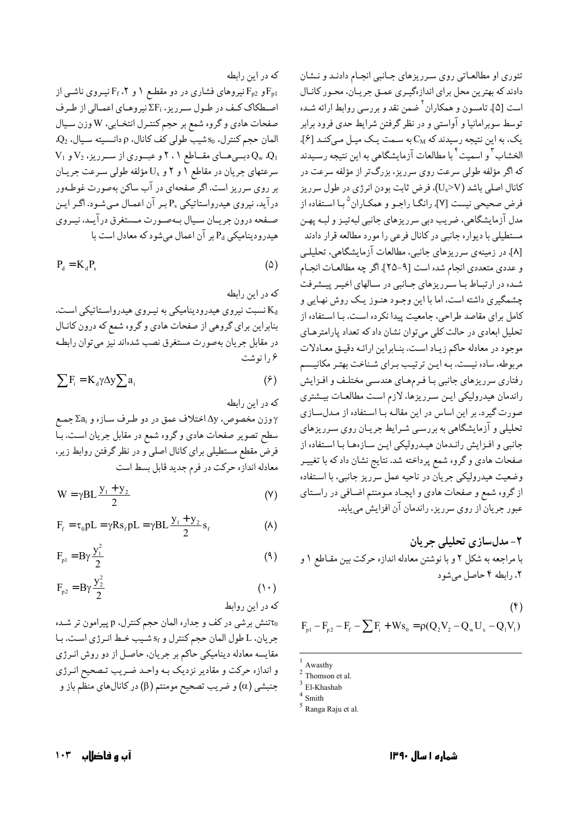که در این رابطه و Fp2 نیروهای فشاری در دو مقطع ۱ و F<sub>f</sub> ،۲ نیـروی ناشـی از F $_{\rm p1}$ اصطکاک کف در طول سرریز، ;ΣF نیروهای اعمالی از طرف صفحات هادي و گروه شمع بر حجم كنتـرل انتخـابي، W وزن سـيال  $Q_2$  المان حجم كنترل، 50شيب طولي كف كانال، p دانـسيته سـيال،  $Q_2$  $V_1$  دبسی هسای مقساطع ۲، ۲ و عبسوری از سسرریز،  $V_2$  و  $Q_w$   $Q_1$ سرعتهای جریان در مقاطع ۱ و ۲ و پرU مؤلفه طولی سرعت جریان بر روی سرریز است. اگر صفحهای در آب ساکن بهصورت غوطـهور درآید، نیروی هیدرواستاتیکی Ps بـر آن اعمـال مـیشـود. اگـر ایـن صـفحه درون جريــان ســيال بــهصـورت مــستغرق درآيــد، نيــروي هیدرودینامیکی P<sub>d</sub> بر آن اعمال میشود که معادل است با

$$
P_d = K_d P_s \tag{2}
$$

که در این رابطه نسبت نیروی هیدرودینامیکی به نیروی هیدرواستاتیکی است. بنابراین برای گروهی از صفحات هادی و گروه شمع که درون کانال در مقابل جريان بهصورت مستغرق نصب شدهاند نيز مي توان رابطـه ۱٫۶نوشت

$$
\sum F_i = K_d \gamma \Delta y \sum a_i \tag{9}
$$

که در این رابطه

وزن مخصوص، 57 اختلاف عمق در دو طـرف سـازه و Za<sub>i</sub> جمـع  $\gamma$ سطح تصویر صفحات هادی و گروه شمع در مقابل جریان است. بـا فرض مقطع مستطیلی برای کانال اصلی و در نظر گرفتن روابط زیر. معادله اندازه حرکت در فرم جدید قابل بسط است

$$
W = \gamma BL \frac{y_1 + y_2}{2}
$$
 (Y)

$$
F_{f} = \tau_{0} pL = \gamma R s_{f} pL = \gamma B L \frac{y_{1} + y_{2}}{2} s_{f}
$$
 (A)

$$
F_{p1} = B\gamma \frac{y_1^2}{2} \tag{4}
$$

$$
F_{p2} = B\gamma \frac{y_2^2}{2}
$$
 (1.)

تنش برشي در كف و جداره المان حجم كنترل، p ييرامون تر شـده جريان، L طول المان حجم كنترل و Sf شيب خط انرژى است. با مقایسه معادله دینامیکی حاکم بر جریان، حاصل از دو روش انـرژی و اندازه حرکت و مقادیر نزدیک بـه واحـد ضـریب تـصحیح انـرژي جنبشی (α) و ضریب تصحیح مومنتم (β) در کانالهای منظم باز و

تئوری او مطالعـاتی روی سـرریزهای جـانبی انجـام دادنـد و نـشان دادند که بهترین محل برای اندازهگیری عمـق جریـان، محـور کانـال است [۵]. تامسون و همکاران <sup>۲</sup> ضمن نقد و بررسی روابط ارائه شـده توسط سوبرامانیا و آواستی و در نظر گرفتن شرایط حدی فرود برابر یک، به این نتیجه رسیدند که  $C_M$ به سـمت یـک میـل مـیکنـد [۶]. الخشاب <sup>۳</sup> و اسمیت <sup>۴</sup> با مطالعات آزمایشگاهی به این نتیجه رسـیدند که اگر مؤلفه طولی سرعت روی سرریز، بزرگتر از مؤلفه سرعت در کانال اصلی باشد (U<sub>x</sub>>V)، فرض ثابت بودن انرژی در طول سرریز فرض صحیحی نیست [۷]. رانگـا راجـو و همکـاران <sup>۵</sup>بـا اسـتفاده از مدل آزمایشگاهی، ضریب دبی سرریزهای جانبی لبهتیـز و لبـه پهـن مستطیلی با دیواره جانبی در کانال فرعی را مورد مطالعه قرار دادند [۸]. در زمینهی سرریزهای جانبی، مطالعات آزمایشگاهی، تحلیلـی و عددي متعددي انجام شده است [٩-٢٥]. اگر چه مطالعـات انجـام شـده در ارتبـاط بـا سـرريزهاي جـانبي در سـالهاي اخيـر پيـشرفت چشمگیری داشته است، اما با این وجـود هنـوز یـک روش نهـایی و کامل برای مقاصد طراحی، جامعیت پیدا نکرده است. بـا اسـتفاده از تحلیل ابعادی در حالت کلی میتوان نشان داد که تعداد پارامترهـای موجود در معادله حاكم زياد است. بنـابراين ارائـه دقيـق معـادلات مربوطه، ساده نیست. بـه ایـن ترتیـب بـرای شـناخت بهتـر مکانیـسم رفتاري سرريزهاي جانبي با فرمهاي هندسي مختلف و افزايش راندمان هيدروليكي ايـن سـرريزها، لازم اسـت مطالعـات بيـشتري صورت گیرد. بر این اساس در این مقالـه بـا اسـتفاده از مـدلسـازی تحلیلی و آزمایشگاهی به بررسمی شرایط جریان روی سرریزهای جانبي و افـزايش رانـدمان هيـدروليكي ايـن سـازههـا بـا اسـتفاده از صفحات هادي وگروه شمع پرداخته شد. نتايج نشان داد كه با تغييـر وضعیت هیدرولیکی جریان در ناحیه عمل سرریز جانبی، با استفاده از گروه شمع و صفحات هادي و ايجـاد مـومنتم اضـافي در راسـتاي عبور جريان از روى سرريز، راندمان آن افزايش مىيابد.

## ۲- مدلسازی تحلیلی جریان با مراجعه به شکل ۲ و با نوشتن معادله اندازه حرکت بین مقـاطع ۱ و ۲، رابطه ۴ حاصل می شود

$$
\text{F}_{\text{p1}} - \text{F}_{\text{p2}} - \text{F}_{\text{f}} - \sum \text{F}_{\text{i}} + \text{Ws}_0 = \rho(\text{Q}_2 \text{V}_2 - \text{Q}_{\text{w}} \text{U}_{\text{x}} - \text{Q}_{\text{1}} \text{V}_{\text{i}})
$$

Awasthy

Thomson et al.

FLKhashah

Smith

<sup>&</sup>lt;sup>5</sup> Ranga Raju et al.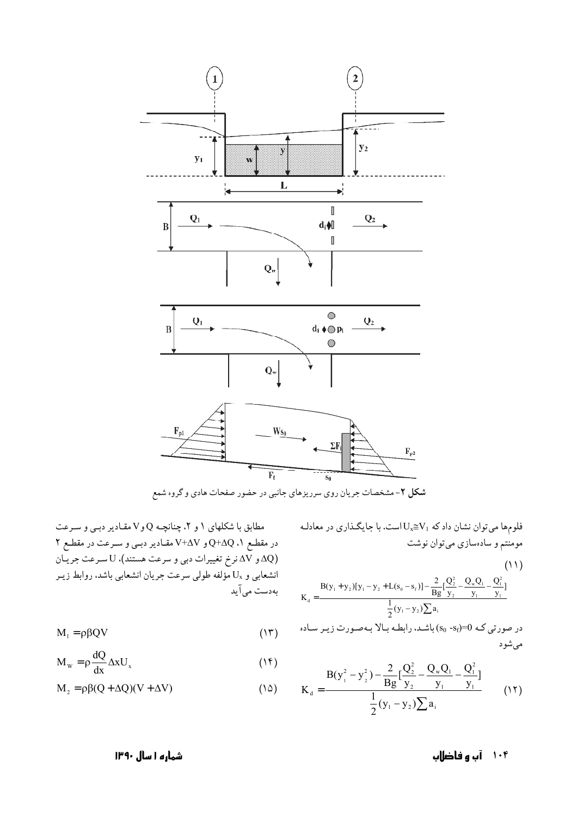

شکل ۲-مشخصات جریان روی سرریزهای جانبی در حضور صفحات هادی و گروه شمع

فلومها میتوان نشان داد که  $\rm{U}_{x} {\cong} V_{1}$ است. با جایگذاری در معادلـه مومنتم و سادهسازی میتوان نوشت

(11)  
\n
$$
K_{d} = \frac{B(y_{1} + y_{2})[y_{1} - y_{2} + L(s_{0} - s_{f})] - \frac{2}{Bg}[\frac{Q_{2}^{2}}{y_{2}} - \frac{Q_{w}Q_{1}}{y_{1}} - \frac{Q_{1}^{2}}{y_{1}}]}{\frac{1}{2}(y_{1} - y_{2})\sum a_{i}}
$$

$$
K_{d} = \frac{B(y_{1}^{2} - y_{2}^{2}) - \frac{2}{Bg} [\frac{Q_{2}^{2}}{y_{2}} - \frac{Q_{w}Q_{1}}{y_{1}} - \frac{Q_{1}^{2}}{y_{1}}]}{\frac{1}{2}(y_{1} - y_{2})\sum a_{i}} \qquad (17)
$$

مطابق با شکلهای ۱ و ۲، چنانچـه Q و V مقـادیر دبـی و سـرعت در مقطع ۹، Q+AQ و V+AV مقـادیر دبـی و سـرعت در مقطـع ۲ (∆0 و ∆ل نرخ تغییرات دبی و سرعت هستند)، U سـرعت جریـان انشعابی و  $\mathrm{U}_\mathrm{x}$  مؤلفه طولی سرعت جریان انشعابی باشد. روابط زیـر بەدست مى آيد

$$
M_1 = \rho \beta QV \tag{17}
$$

$$
M_{w} = \rho \frac{dQ}{dx} \Delta x U_{x}
$$
 (1f)

$$
M_2 = \rho \beta (Q + \Delta Q)(V + \Delta V)
$$
 (10)

۱۰۴ آب و فاضلاب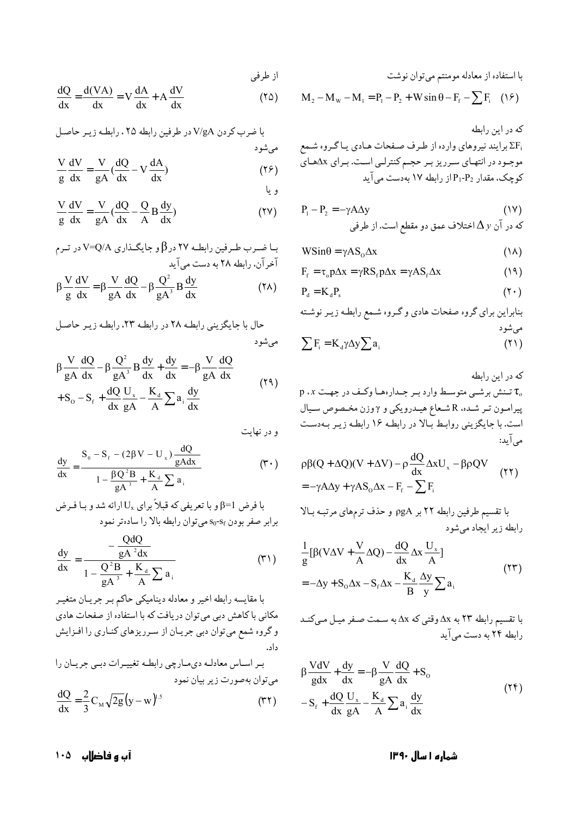با استفاده از معادله مومنتم میتوان نوشت

$$
M_2 - M_w - M_1 = P_1 - P_2 + W \sin \theta - F_f - \sum F_i \quad (19)
$$

$$
P_1 - P_2 = -\gamma A \Delta y
$$
\n
$$
\Delta y
$$
\n
$$
\Delta y
$$
\n
$$
\Delta y
$$
\n
$$
\Delta z
$$

$$
WSin\theta = \gamma AS_{0}\Delta x \tag{1A}
$$

$$
F_{f} = \tau_{0} p \Delta x = \gamma R S_{f} p \Delta x = \gamma A S_{f} \Delta x \qquad (19)
$$

$$
P_{d} = K_{d} P_{s}
$$
 (7.1)

که در این رابطه  $\mathfrak{p}$ ، تنش برشـی متوسط وارد بـر جـدارههـا وكـف در جهـت  $\tau_o$ پیرامون تـر شـده، R شـعاع هیـدرویکي و 7وزن مخـصوص سـیال است. با جایگزینی روابط بالا در رابطه ۱۶ رابطه زیـر بـهدسـت می آید:

$$
\rho \beta (Q + \Delta Q)(V + \Delta V) - \rho \frac{dQ}{dx} \Delta x U_x - \beta \rho QV
$$
  
= -\gamma A \Delta y + \gamma A S\_0 \Delta x - F\_f - \sum F\_i

با تقسیم طرفین رابطه ۲۲ بر pgA و حذف ترمهای مرتبـه بـالا رابطه زیر ایجاد می شود

$$
\frac{1}{g} [\beta (V\Delta V + \frac{V}{A}\Delta Q) - \frac{dQ}{dx} \Delta x \frac{U_x}{A}]
$$
\n
$$
= -\Delta y + S_0 \Delta x - S_f \Delta x - \frac{K_d}{B} \frac{\Delta y}{y} \sum a_i
$$
\n(17)

با تقسیم رابطه ٢٣ به Ax وقتی که Ax به سـمت صـفر میـل مـیکنـد رابطه ۲۴ به دست می آید

$$
\beta \frac{VdV}{gdx} + \frac{dy}{dx} = -\beta \frac{V}{gA} \frac{dQ}{dx} + S_o
$$
  

$$
-S_f + \frac{dQ}{dx} \frac{U_x}{gA} - \frac{K_a}{A} \sum a_i \frac{dy}{dx}
$$
 (17)

$$
\frac{dQ}{dx} = \frac{d(VA)}{dx} = V\frac{dA}{dx} + A\frac{dV}{dx}
$$
 (10)

$$
V/gA
$$
با ضرب کردن  $V/gA$  در طرفین رابطه ۲۵، رابطه زیر حاصل  
میشود  
V dV V dO = dA.

$$
\frac{1}{g} \frac{dV}{dx} = \frac{1}{gA} \left( \frac{dV}{dx} - V \frac{dV}{dx} \right)
$$
 (17)

$$
\frac{V}{g}\frac{dV}{dx} = \frac{V}{gA}(\frac{dQ}{dx} - \frac{Q}{A}B\frac{dy}{dx})
$$
 (YV)

ب اضرب طرفین رابطه ۲۷ در β و جایگذاری V=C/A در ترم  
آخرآن، رابطه ۲۸ به دست میآید  
β
$$
\frac{V}{g} \frac{dV}{dx} = \beta \frac{V}{gA} \frac{dQ}{dx} - \beta \frac{Q^2}{gA^3} B \frac{dy}{dx}
$$
 (۲۸)

$$
\beta \frac{V}{gA} \frac{dQ}{dx} - \beta \frac{Q^2}{gA^3} B \frac{dy}{dx} + \frac{dy}{dx} = -\beta \frac{V}{gA} \frac{dQ}{dx}
$$
  

$$
+ S_0 - S_f + \frac{dQ}{dx} \frac{U_x}{gA} - \frac{K_d}{A} \sum a_i \frac{dy}{dx}
$$
  

$$
+ S_0 - S_f + \frac{dQ}{dx} \frac{U_x}{gA} - \frac{K_d}{A} \sum a_i \frac{dy}{dx}
$$
 (19)

و در نهایت

از طرفي

$$
\frac{dy}{dx} = \frac{S_0 - S_f - (2\beta V - U_x)\frac{dQ}{gAdx}}{1 - \frac{\beta Q^2 B}{gA^3} + \frac{K_d}{A}\sum a_i}
$$
 (7.)

$$
\frac{dy}{dx} = \frac{-\frac{QdQ}{gA^2dx}}{1 - \frac{Q^2B}{gA^3} + \frac{K_d}{A}\sum a_i}
$$
 (T<sup>1</sup>)

با مقایسه رابطه اخیر و معادله دینامیکی حاکم بـر جریـان متغیـر مکانی با کاهش دبی میتوان دریافت که با استفاده از صفحات هادی و گروه شمع میتوان دبی جریان از سرریزهای کناری را افزایش داد. بر اساس معادلـه ديمـارچي رابطـه تغييـرات دبـي جريـان را

$$
\frac{dQ}{dx} = \frac{2}{3} C_M \sqrt{2g} (y - w)^{1.5}
$$
 (77)

آب و فاضلاب ۱۰۵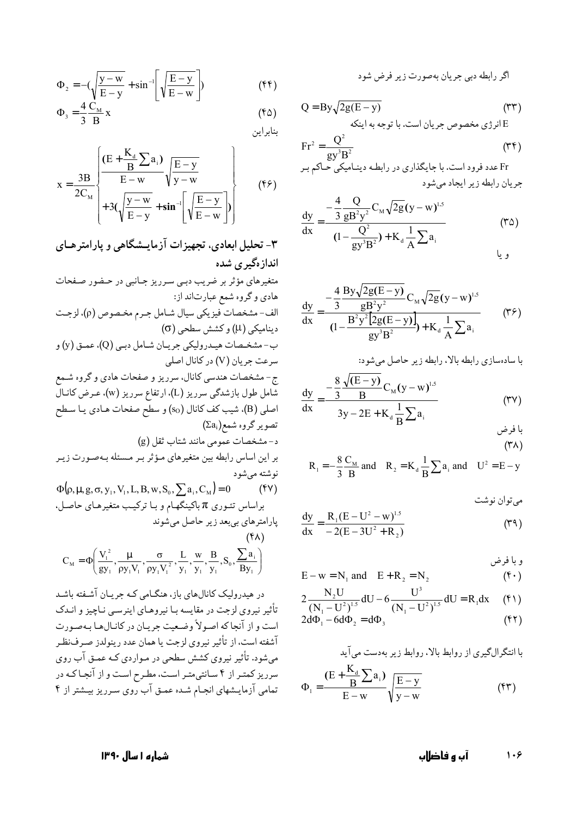اگر رابطه دبی جریان بهصورت زیر فرض شود

Q = By
$$
\sqrt{2g(E - y)}
$$
 (TT)  
E<sup>2</sup>

$$
Fr^{2} = \frac{Q^{2}}{gy^{3}B^{2}}
$$
 (TF)

$$
\frac{dy}{dx} = \frac{-\frac{4}{3} \frac{Q}{g B^{2} y^{2}} C_{M} \sqrt{2g} (y - w)^{1.5}}{(1 - \frac{Q^{2}}{g y^{3} B^{2}}) + K_{d} \frac{1}{A} \sum a_{i}} \qquad (7\Delta)
$$

$$
\frac{dy}{dx} = \frac{-\frac{4}{3} \frac{By\sqrt{2g(E-y)}}{gB^{2}y^{2}} C_{M} \sqrt{2g}(y-w)^{1.5}}{(1 - \frac{B^{2}y^{2}[2g(E-y)]}{gy^{3}B^{2}}) + K_{d} \frac{1}{A} \sum a_{i}} \qquad (75)
$$

$$
\frac{dy}{dx} = \frac{-\frac{8}{3} \frac{\sqrt{(E - y)}}{B} C_M (y - w)^{1.5}}{3y - 2E + K_a \frac{1}{B} \sum a_i}
$$
 (TV)

$$
R_1 = -\frac{8}{3} \frac{C_M}{B}
$$
 and  $R_2 = K_d \frac{1}{B} \sum a_i$  and  $U^2 = E - y$ 

مي توان نوشت

$$
\frac{dy}{dx} = \frac{R_1 (E - U^2 - w)^{1.5}}{-2(E - 3U^2 + R_2)}
$$
 (T4)

$$
E - w = N_1 \text{ and } E + R_2 = N_2 \qquad (\mathbf{f} \cdot)
$$
  
\n
$$
2 \frac{N_2 U}{(N_1 - U^2)^{1.5}} dU - 6 \frac{U^3}{(N_1 - U^2)^{1.5}} dU = R_1 dx \qquad (\mathbf{f} \cdot)
$$
  
\n
$$
2 d\Phi_1 - 6 d\Phi_2 = d\Phi_3 \qquad (\mathbf{f} \cdot)
$$

$$
d\Phi_1 - 6d\Phi_2 = d\Phi_3 \tag{5.7}
$$

$$
\Phi_1 = \frac{(\mathbf{E} + \frac{\mathbf{K}_d}{\mathbf{B}} \sum \mathbf{a}_i)}{\mathbf{E} - \mathbf{w}} \sqrt{\frac{\mathbf{E} - \mathbf{y}}{\mathbf{y} - \mathbf{w}}} \tag{57}
$$

$$
\Phi_2 = -\left(\sqrt{\frac{y - w}{E - y}} + \sin^{-1}\left[\sqrt{\frac{E - y}{E - w}}\right]\right) \tag{55}
$$

$$
\Phi_3 = \frac{4}{3} \frac{C_M}{B} x
$$
 (f $\Delta$ )

$$
x = \frac{3B}{2C_M} \left\{ \frac{\left(E + \frac{K_d}{B} \sum a_i\right)}{E - w} \sqrt{\frac{E - y}{y - w}} + 3\left(\sqrt{\frac{y - w}{E - y}} + \sin^{-1}\left(\sqrt{\frac{E - y}{E - w}}\right)\right) \right\}
$$
(f)

۳- تحلیل ابعادی، تجهیزات آزمایـشگاهی و پارامترهـای اندازهگیری شده

متغیرهای مؤثر بر ضریب دبی سرریز جانبی در حضور صفحات  
هادی و گرو، شمع عبارتاند از:  
مایدی و گرو، شمع عبراتاند از:  
(σ)یشطحی (d)  
دینامیکی (4) و کشش سطحی (d)  
دینامیکی (4) و کشش سطحی (b)  
سعت جریان (V) در کانال اصلی  
سعت جریان (V) در کانال اصلی  
شمای میدرولیکی جریان شامای میرریز (w))، عرضی کانال  
شمل طول بازشدگی سرریز و صفحات هادی یا سطح  
تصویر گرو، شمع(که)  
(a)  
تصویر گرو، شمعامی نن ننیر های منغیرهای میژتر بر مسئله بهصورت زیر  
براین اساس رابطه بین متفیرهای میژتر بر مسئله بهصورت زیر  
بیان اسس تئوری 
$$
\pi
$$
 میشود  
براساس تئوری  $\pi$  باینگهام و با ترکیب متفیرهای حاصل،  
پاراست هایشود  
(۲۲)  
  
C<sub>M</sub> =  $\Phi\left(y^2_1, y^2, y^3, y^4, y^5, y^6, y^7, y^8, y^9, y^8, y^9, y^8, y^9, y^9, y^9, y^8  
بیان میشود$ 

در هیدرولیک کانالهای باز، هنگـامی کـه جریـان آشـفته باشـد .<br>تأثیر نیروی لزجت در مقایسه بـا نیروهــای اینرســی نــاچیز و انــدک است و از آنجا که اصولاً وضعیت جریـان در کانـالهـا بـهصورت آشفته است، از تأثیر نیروی لزجت یا همان عدد رینولدز صـرف:نظـر میشود. تأثیر نیروی کشش سطحی در مـواردی کـه عمـق آب روی سرریز کمتر از ۴ سانتیمتر است، مطرح است و از آنجاکه در تمامی آزمایـشهای انجـام شـده عمـق آب روی سـرریز بیـشتر از ۴

> $1.9$ آب و فاضلاب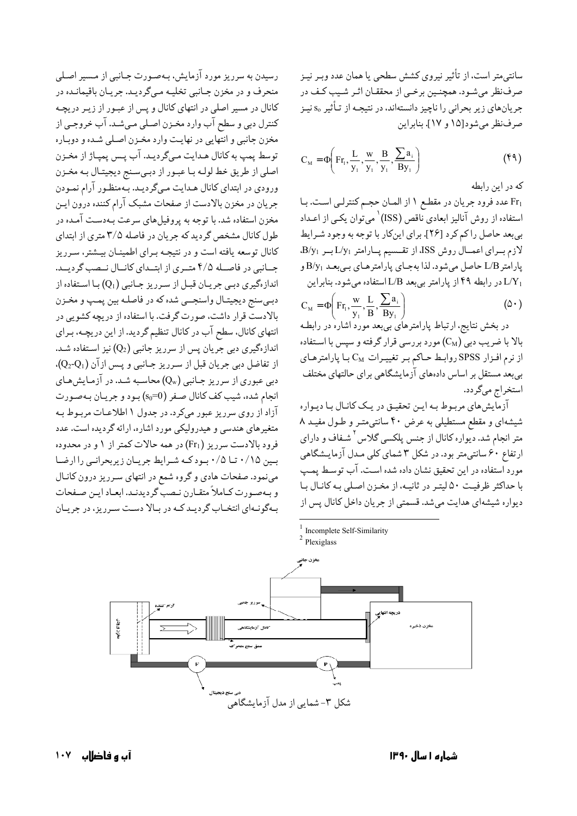سانتي متر است، از تأثير نيروي كشش سطحي يا همان عدد وبـر نيـز صرفنظر می شـود. همچنـین برخـی از محققـان اثـر شـیب کـف در جریانهای زیر بحرانی را ناچیز دانستهاند، در نتیجـه از تـأثیر S<sub>o</sub> نیـز صرف نظر مے شود[۱۵ و ۱۷]. بنایراین

$$
C_M = \Phi\left(F_{T_1}, \frac{L}{y_1}, \frac{W}{y_1}, \frac{B}{y_1}, \frac{\sum a_i}{By_1}\right) \tag{54}
$$

که در این رابطه

Fr1 عدد فرود جريان در مقطع ١ از المان حجم كنترلـى است. بـا استفاده از روش آنالیز ابعادی ناقص (ISS)<sup>\</sup> میتوان یکـی از اعـداد بی بعد حاصل را کم کرد [۲۶]. برای اینکار با توجه به وجود شرایط لازم برای اعمال روش ISS، از تقسیم پارامتر L/y1 بر B/y1. پارامتر L/B حاصل میشود. لذا بهجای پارامترهای بمیبعد B/y1 و در رابطه ۴۹ از پارامتر بیبعد L/B استفاده میشود. بنابراین I/Y

$$
C_{M} = \Phi\left(F_{T_1}, \frac{w}{y_1}, \frac{L}{B}, \frac{\sum a_i}{By_1}\right)
$$
 (2.)

در بخش نتایج، ارتباط پارامترهای بی بعد مورد اشاره در رابطـه بالا با ضریب دبی (C<sub>M</sub>) مورد بررسی قرار گرفته و سپس با اسـتفاده از نرم افـزار SPSS روابـط حـاكم بـر تغييـرات CM بـا پارامترهـاي بی بعدٰ مستقل بر اساس دادههای آزمایشگاهی برای حالتهای مختلف استخراج مي گردد.

آزمایش های مربوط بـه ایـن تحقیـق در یـک کانـال بـا دیـواره شیشهای و مقطع مستطیلی به عرض ۴۰ سانتی متـر و طـول مفیـد ۸ متر انجام شد. دیواره کانال از جنس پلکسی گلاس<sup>۲</sup> شـفاف و دارای ارتفاع <sup>۰</sup>۶ سانتی‰تر بود. در شکل ۳ شمای کلی مـدل آزمایـشگاهی مورد استفاده در این تحقیق نشان داده شده است. آب توسط پمپ با حداکثر ظرفیت ۵۰ لیتر در ثانیه، از مخزن اصلی به کانال با دیواره شیشهای هدایت میشد. قسمتی از جریان داخل کانال پس از



آب و فاضلاب ۱۰۷

رسیدن به سرریز مورد آزمایش، بـهصـورت جـانبی از مـسیر اصـلی

منحرف و در مخزن جـانبي تخليـه مـيگرديـد. جريـان باقيمانـده در

کانال در مسیر اصلی در انتهای کانال و پس از عبـور از زیـر دریچـه

کنترل دبي و سطح آب وارد مخـزن اصـلي مـي شـد. آب خروجـي از

مخزن جانبي و انتهايي در نهايت وارد مخـزن اصـلي شـده و دوبـاره توسط پمپ به کانال هـدايت مـيگرديـد. آب پـس پمپـاژ از مخـزن اصلي از طريق خط لولـه بـا عبـور از دبـيسـنج ديجيتـال بـه مخـزن ورودی در ابتدای کانال هـدایت مـیگردیـد. بـّـهمنظـور آرام نمـودن

جریان در مخزن بالادست از صفحات مشبک آرام کننده درون ایـن

مخزن استفاده شد. با توجه به پروفیلهای سرعت بـهدسـت آمـده در

طول کانال مشخص گردید که جریان در فاصله ۳/۵ متری از ابتدای

کانال توسعه یافته است و در نتیجـه بـرای اطمینـان بیـشتر، سـرریز

جـانبي در فاصـله ۴/۵ متـري از ابتـداي كانـال نـصب گرديـد.

اندازهگیری دببی جریـان قبـل از سـرریز جـانبی (Qı) بـا اسـتفاده از دبـيسنج ديجيتـال واسنجــي شده كه در فاصلـه بين پمـپ و مخـزن بالادستّ قرار داشت، صورت گرفت. با استفاده از دریچه کشویی در

انتهای کانال، سطح آب در کانال تنظیم گردید. از این دریچـه، بـرای

اندازهگیری دبی جریان پس از سرریز جانبی (Q2) نیز استفاده شـد.

از تفاضل دبی جریان قبل از سرریز جـانبی و پـس ازآن (Q2-Q1).

دبی عبوری از سرریز جـانبی (Q<sub>w</sub>) محاسـبه شـد. در آزمـایشهـای

انجام شده، شیب کف کانال صفر (so=0) بود و جریان بهصورت

آزاد از روی سرریز عبور میکرد. در جدول ۱ اطلاعـات مربـوط بـه

متغیرهای هندسی و هیدرولیکی مورد اشاره، ارائه گردیده است. عدد

فرود بالادست سرریز (Fr1) در همه حالات کمتر از ۱ و در محدوده

بین ۰/۱۵ تا ۰/۵ بود که شرایط جریان زیربحرانبی را ارضا

مینمود. صفحات هادی و گروه شمع در انتهای سرریز درون کانال

و بـهصـورت كـاملاً متقـارن نـصب گرديدنـد. ابعـاد ايـن صـفحات

بهگونـهای انتخـاب گردیـدکـه در بـالا دسـت سـرریز، در جریـان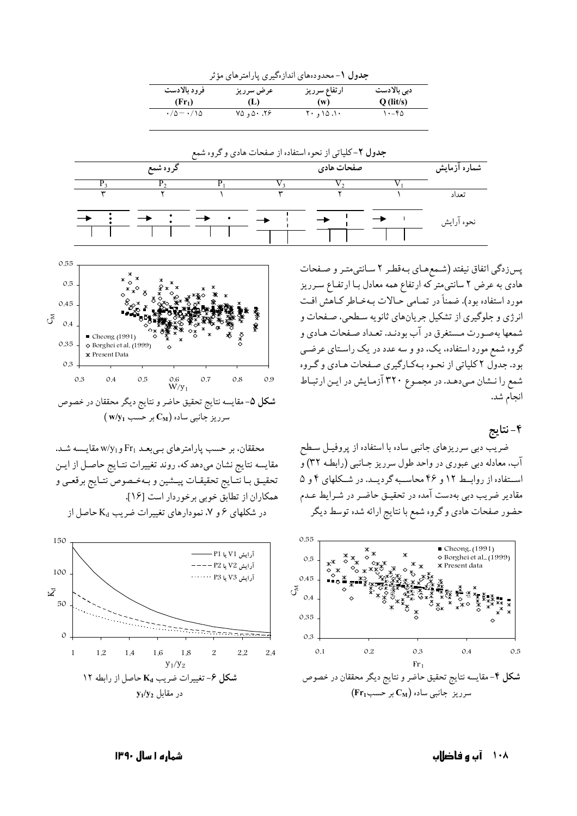| <b>جدول ۱</b> - محدودههای اندازهگیری پارامترهای مؤثر |                                    |                      |                            |  |
|------------------------------------------------------|------------------------------------|----------------------|----------------------------|--|
| فرود بالادست<br>$(Fr_1)$                             | عرض سرريز<br>(L)                   | ارتفاع سرريز<br>(w)  | دبی بالادست<br>$Q$ (lit/s) |  |
| $\cdot/\Delta$ $ \cdot/\Delta$                       | $Y^{\wedge}$ , $\wedge$ , $\wedge$ | $Y \cdot 10.1 \cdot$ | $\cdots$ ۴۵                |  |



پس زدگی اتفاق نیفتد (شـمعهـای بـهقطـر ٢ سـانتیمتـر و صـفحات هادی به عرض ۲ سانتی متر که ارتفاع همه معادل بـا ارتفـاع سـرريز مورد استفاده بود). ضمناً در تمـامي حـالات بـهخـاطر كـاهش افـت انرژی و جلوگیری از تشکیل جریانهای ثانویه سطحی، صفحات و شمعها بهصورت مستغرق در آب بودنـد. تعـداد صـفحات هـادي و گروه شمع مورد استفاده، یک، دو و سه عدد در یک راسـتای عرضـی بود. جدول ۲ کلیاتی از نحـوه بـهکـارگیری صـفحات هـادی و گـروه شمع را نـشان مـىدهـد. در مجمـوع ٣٢٠ آزمـايش در ايـن ارتبـاط انجام شد.

۴-نتايج

ضریب دبی سرریزهای جانبی ساده با استفاده از پروفیـل سـطح آب، معادله دبی عبوری در واحد طول سرریز جـانبی (رابطـه ٣٢) و استفاده از روابط ١٢ و ۴۶ محاسبه گرديـد. در شـكلهاى ۴ و ۵ مقادیر ضریب دبی بهدست آمده در تحقیـق حاضـر در شـرایط عـدم حضور صفحات هادي وكروه شمع با نتايج ارائه شده توسط ديگر





محققان، بر حسب یارامترهای بمیبعـد Fr1 و w/y مقایـسه شـد. مقايسه نتايج نشان مىدهدكه، روند تغييرات نتـايج حاصـل از ايـن تحقيـق بـا نتـايج تحقيقـات پيـشين و بـهخـصوص نتـايج برقعـي و همكاران از تطابق خوبي برخوردار است [١۶]. در شکلهای ۶ و ۷، نمودارهای تغییرات ضریب K<sub>d</sub> حاصل از



۱۰۸ آب و فاضلاب

شماره ۱ سال ۱۳۹۰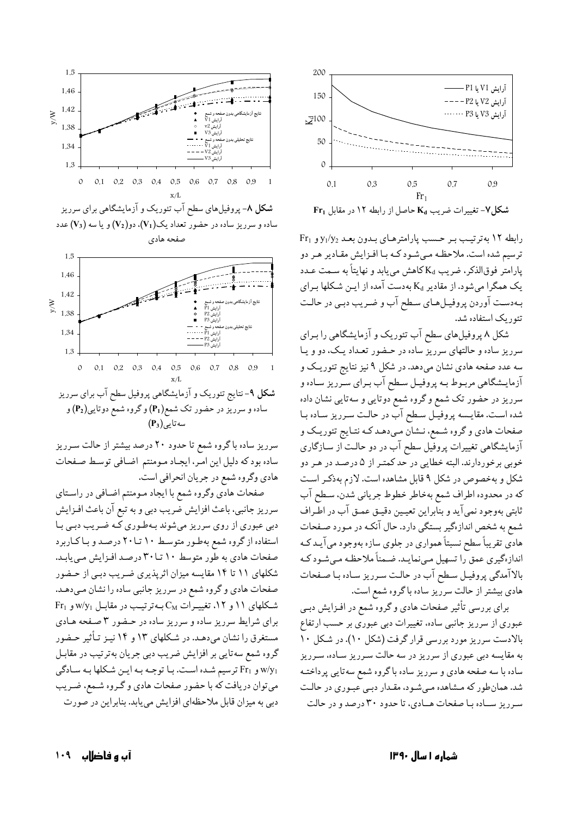

رابطه ١٢ بهترتيب بر حسب يارامترهاي بدون بعد 21/y2 و Fr1 ترسیم شده است. ملاحظه میشود کـه بـا افـزایش مقـادیر هـر دو يارامتر فوقالذكر، ضريب K<sub>d</sub> كاهش مي يابد و نهايتاً به سـمت عـدد یک همگرا میشود. از مقادیر K<sub>d</sub> بهدست آمده از ایـن شـکلها بـرای بهدست آوردن پروفيـلهـاي سـطح آب و ضـريب دبـي در حالـت تئور یک استفاده شد.

شکل ۸ پروفیلهای سطح آب تئوریک و آزمایشگاهی را بـرای سرریز ساده و حالتهای سرریز ساده در حـضور تعـداد یـک، دو و یـا سه عدد صفحه هادی نشان میدهد. در شکل ۹ نیز نتایج تئوریـک و آزمایـشگاهی مربـوط بـه پروفیـل سـطح آب بـرای سـرریز سـاده و سرریز در حضور تک شمع و گروه شمع دوتایی و سهتایی نشان داده شده است. مقايسه پروفيـل سـطح آب در حالـت سـرريز سـاده بـا صفحات هادي و گروه شـمع، نـشان مـي‹هـد كـه نتـايج تئوريـك و آزمایشگاهی تغییرات پروفیل سطح آب در دو حالت از سـازگاری خوبي برخوردارند. البته خطايي در حد كمتـر از ۵ درصـد در هـر دو شکل و بهخصوص در شکل ۹ قابل مشاهده است. لازم بهذکـر اسـت كه در محدوده اطراف شمع بهخاطر خطوط جرياني شدن، سـطح آب ثابتي بهوجود نمي آيد و بنابراين تعيـين دقيـق عمـق آب در اطـراف شمع به شخص اندازهگیر بستگی دارد. حال آنکـه در مـورد صـفحات هادي تقريباً سطح نسبتاً همواري در جلوي سازه بهوجود مي آيـد كـه اندازهگیری عمق را تسهیل می;نمایـد. ضـمناً ملاحظـه مـیشـود کـه بالاآمدگی پروفیل سطح آب در حالت سرریز ساده با صفحات هادي بيشتر از حالت سرريز ساده باگروه شمع است.

برای بررسی تأثیر صفحات هادی و گروه شمع در افـزایش دبـی عبوری از سرریز جانبی ساده، تغییرات دبی عبوری بر حسب ارتفاع بالادست سرریز مورد بررسی قرار گرفت (شکل ۱۰). در شکل ۱۰ به مقایسه دبی عبوری از سرریز در سه حالت سـرریز سـاده، سـرریز ساده با سه صفحه هادی و سرریز ساده باگروه شمع سهتایی پرداختـه شد. همانطور که مشاهده میشود، مقدار دبی عبوری در حالت سرریز ساده با صفحات هـادي، تا حدود ٣٠ درصد و در حالت





سرریز ساده باگروه شمع تا حدود ۲۰ درصد بیشتر از حالت سـرریز ساده بودكه دليل اين امر، ايجـاد مـومنتم اضـافي توسـط صـفحات هادي وگروه شمع در جريان انحرافي است.

صفحات هادي وگروه شمع با ايجاد مـومنتم اضـافي در راسـتاي سرريز جانبي، باعث افزايش ضريب دبي و به تبع آن باعث افـزايش دبی عبوری از روی سرریز میشوند بـهطـوری کـه ضـریب دبـی بـا استفاده از گروه شمع بهطور متوسط ۱۰ تا ۲۰ درصد و باكاربرد صفحات هادي به طور متوسط ١٠ تــا٣٠ درصد افـزايش مـي يابـد. شکلهای ۱۱ تا ۱۴ مقایسه میزان اثرپذیری ضریب دبی از حـضور صفحات هادي و گروه شمع در سرريز جانبي ساده را نشان مـيدهـد.  $Fr_1$  شکلهای ۱۱ و ۱۲، تغییرات  $C_M$ به ترتیب در مقابل W/y1 و Fr برای شرایط سرریز ساده و سرریز ساده در حـضور ۳ صـفحه هـادی مستغرق را نشان میدهد. در شکلهای ۱۳ و ۱۴ نیـز تـأثیر حـضور گروه شمع سهتایی بر افزایش ضریب دبی جریان بهترتیب در مقابـل و Fr1 ترسيم شده است. با توجه به اين شكلها به سادگي Fr می توان دریافت که با حضور صفحات هادی و گـروه شـمع، ضـریب دبی به میزان قابل ملاحظهای افزایش می یابد. بنابراین در صورت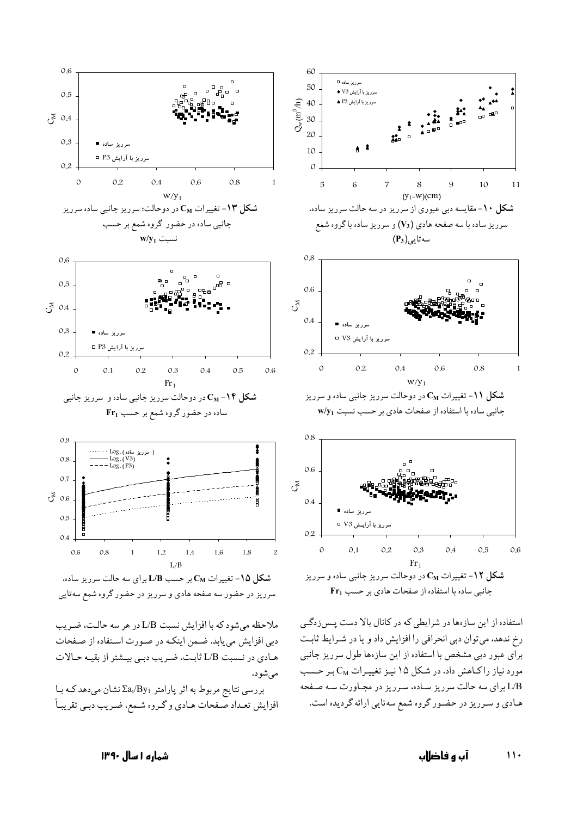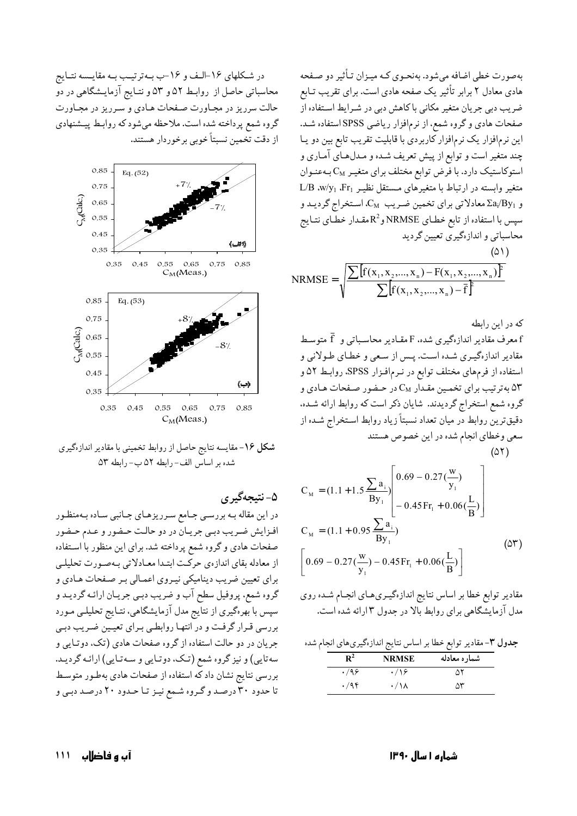بهصورت خطي اضافه مي شود. بهنحـوي كـه ميـزان تـأثير دو صـفحه هادی معادل ۲ برابر تأثیر یک صفحه هادی است. برای تقریب تـابع ضریب دبی جریان متغیر مکانی با کاهش دبی در شـرایط اسـتفاده از صفحات هادي وكروه شمع، از نرمافزار رياضي SPSS استفاده شـد. این نرمافزار یک نرمافزار کاربردی با قابلیت تقریب تابع بین دو یـا چند متغیر است و توابع از پیش تعریف شـده و مـدلهـای آمـاری و استوکاستیک دارد. با فرض توابع مختلف برای متغیـر C<sub>M</sub> بـهعنـوان  $L/B$  w/y<sub>1</sub> .Fr<sub>1</sub> نظیـر نظیـر .Er و  $\rm{Za_{i}/By_{1}}$  معادلاتی برای تخمین ضریب  $\rm{C_{M}}$ ، استخراج گردیـد و سپس با استفاده از تابع خطـاي NRMSE و $\mathsf{R}^2$ مقـدار خطـّاي نتـايج محاسباتی و اندازهگیری تعیین گردید

$$
NRMSE = \sqrt{\frac{\sum [f(x_1, x_2, ..., x_n) - F(x_1, x_2, ..., x_n)]^2}{\sum [f(x_1, x_2, ..., x_n) - \bar{f}]} }
$$

که در این رابطه

معرف مقادیر اندازهگیری شده، F مقـادیر محاسـباتی و  $\bar{\rm f}$  متوسـط  $\rm f$ مقادیر اندازهگیـری شـده اسـت. پـس از سـعی و خطـای طـولانی و استفاده از فرمهای مختلف توابع در نـرمافـزار SPSS، روابـط ۵۲ و به ترتیب برای تخمین مقـدار  $\rm C_M$  در حـضور صـفحات هـادی و  $\rm \Delta Y$ گروه شمع استخراج گردیدند. شایان ذکر است که روابط ارائه شـده، دقیقترین روابط در میان تعداد نسبتاً زیاد روابط استخراج شـده از سعی وخطای انجام شده در این خصوص هستند

$$
(\mathsf{a}\mathsf{r})
$$

$$
C_{_{M}} = (1.1 + 1.5 \frac{\sum a_{i}}{By_{1}}) \left[ 0.69 - 0.27(\frac{w}{y_{1}})\n- 0.45 Fr_{1} + 0.06(\frac{L}{B}) \right]
$$
\n
$$
C_{_{M}} = (1.1 + 0.95 \frac{\sum a_{i}}{By_{1}})
$$
\n
$$
\left[ 0.69 - 0.27(\frac{w}{y_{1}}) - 0.45 Fr_{1} + 0.06(\frac{L}{B}) \right]
$$
\n
$$
(24)
$$

مقادیر توابع خطا بر اساس نتایج اندازهگیریهای انجام شده روی مدل آزمایشگاهی برای روابط بالا در جدول ۳ارائه شده است.

جدول ٣- مقادير توابع خطا بر اساس نتايج اندازهگيري هاي انجام شده

| $\mathbf{R}^2$ | <b>NRMSE</b>    | شمار ه معادله |
|----------------|-----------------|---------------|
| .499           | $\cdot$ /\۶     | ۵۲            |
| .795           | $\cdot/\lambda$ | ۵٣            |

در شکلهای ۱۶-الـف و ۱۶-ب بـهترتیـب بـه مقایـسه نتـایج محاسباتی حاصل از روابط ۵۲ و ۵۳ و نتـایج آزمایـشگاهی در دو حالت سرریز در مجاورت صفحات هـادي و سـرریز در مجـاورت گروه شمع پرداخته شده است. ملاحظه میشود که روابـط پیـشنهادی از دقت تخمین نسبتاً خوبی برخوردار هستند.



شکل ۱۶- مقایسه نتایج حاصل از روابط تخمینی با مقادیر اندازهگیری شده بر اساس الف- رابطه ۵۲ ب- رابطه ۵۳

۵- نتيجەگيرى

در این مقاله بـه بررسـی جـامع سـرریزهـای جـانبی سـاده بـهمنظـور افزایش ضریب دبی جریان در دو حالت حضور و عدم حضور صفحات هادي وگروه شمع پرداخته شد. براي اين منظور با استفاده از معادله بقای اندازهی حرکت ابتدا معادلاتی بهصورت تحلیلی برای تعیین ضریب دینامیکی نیروی اعمالی بر صفحات هـادی و گروه شمع، پروفیل سطح آب و ضریب دبـي جريـان ارائـه گرديـد و سپس با بهرهگیری از نتایج مدل آزمایشگاهی، نتـایج تحلیلـی مـورد بررسی قـرار گرفـت و در انتهـا روابطـی بـرای تعیـین ضـریب دبـی جریان در دو حالت استفاده از گروه صفحات هادی (تک، دوتایی و سهتایی) و نیز گروه شمع (تک، دوتایی و سهتایی) ارائه گردید. بررسی نتایج نشان داد که استفاده از صفحات هادی بهطـور متوسـط تا حدود ۳۰ درصد و گروه شمع نیز تا حدود ۲۰ درصد دبی و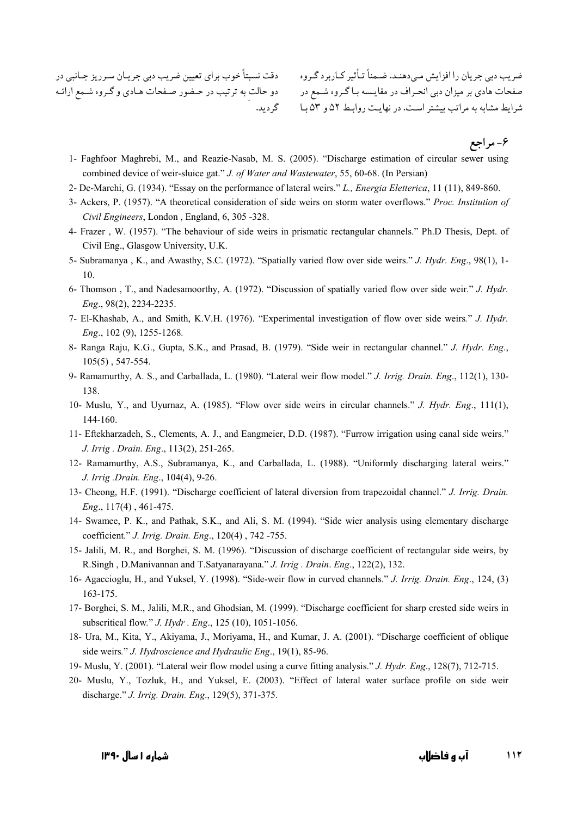ضریب دبی جریان را افزایش مـیدهنـد. ضـمناً تـأثیر کـاربردگـروه دقت نسبتاً خوب برای تعیین ضریب دبی جریـان سـرریز جـانبی در 

۶- مر اجع

- 1- Faghfoor Maghrebi, M., and Reazie-Nasab, M. S. (2005). "Discharge estimation of circular sewer using combined device of weir-sluice gat." J. of Water and Wastewater, 55, 60-68. (In Persian)
- 2- De-Marchi, G. (1934). "Essay on the performance of lateral weirs." L., Energia Eletterica, 11 (11), 849-860.
- 3- Ackers, P. (1957). "A theoretical consideration of side weirs on storm water overflows." Proc. Institution of Civil Engineers, London, England, 6, 305 -328.
- 4- Frazer, W. (1957). "The behaviour of side weirs in prismatic rectangular channels." Ph.D Thesis, Dept. of Civil Eng., Glasgow University, U.K.
- 5- Subramanya, K., and Awasthy, S.C. (1972). "Spatially varied flow over side weirs." J. Hydr. Eng., 98(1), 1-10.
- 6- Thomson, T., and Nadesamoorthy, A. (1972). "Discussion of spatially varied flow over side weir." J. Hydr. Eng., 98(2), 2234-2235.
- 7- El-Khashab, A., and Smith, K.V.H. (1976). "Experimental investigation of flow over side weirs." J. Hydr. Eng., 102 (9), 1255-1268.
- 8- Ranga Raju, K.G., Gupta, S.K., and Prasad, B. (1979). "Side weir in rectangular channel." J. Hydr. Eng.,  $105(5)$ , 547-554.
- 9- Ramamurthy, A. S., and Carballada, L. (1980). "Lateral weir flow model." J. Irrig. Drain. Eng., 112(1), 130-138
- 10- Muslu, Y., and Uyurnaz, A. (1985). "Flow over side weirs in circular channels." J. Hydr. Eng., 111(1), 144-160.
- 11- Eftekharzadeh, S., Clements, A. J., and Eangmeier, D.D. (1987). "Furrow irrigation using canal side weirs." J. Irrig. Drain. Eng., 113(2), 251-265.
- 12- Ramamurthy, A.S., Subramanya, K., and Carballada, L. (1988). "Uniformly discharging lateral weirs." J. Irrig .Drain. Eng., 104(4), 9-26.
- 13- Cheong, H.F. (1991). "Discharge coefficient of lateral diversion from trapezoidal channel." J. Irrig. Drain. Eng., 117(4), 461-475.
- 14- Swamee, P. K., and Pathak, S.K., and Ali, S. M. (1994). "Side wier analysis using elementary discharge coefficient." J. Irrig. Drain. Eng., 120(4), 742-755.
- 15- Jalili, M. R., and Borghei, S. M. (1996). "Discussion of discharge coefficient of rectangular side weirs, by R.Singh, D.Manivannan and T.Satyanarayana." J. Irrig. Drain. Eng., 122(2), 132.
- 16- Agaccioglu, H., and Yuksel, Y. (1998). "Side-weir flow in curved channels." J. Irrig. Drain. Eng., 124, (3) 163-175.
- 17- Borghei, S. M., Jalili, M.R., and Ghodsian, M. (1999). "Discharge coefficient for sharp crested side weirs in subscritical flow." *J. Hydr. Eng.*, 125 (10), 1051-1056.
- 18- Ura, M., Kita, Y., Akiyama, J., Moriyama, H., and Kumar, J. A. (2001). "Discharge coefficient of oblique side weirs." J. Hydroscience and Hydraulic Eng., 19(1), 85-96.
- 19- Muslu, Y. (2001). "Lateral weir flow model using a curve fitting analysis." J. Hydr. Eng., 128(7), 712-715.
- 20- Muslu, Y., Tozluk, H., and Yuksel, E. (2003). "Effect of lateral water surface profile on side weir discharge." J. Irrig. Drain. Eng., 129(5), 371-375.